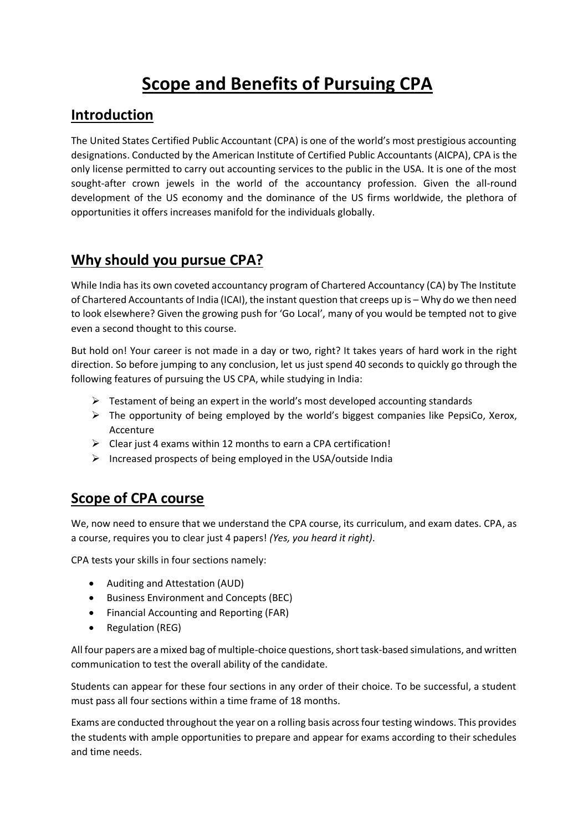# **Scope and Benefits of Pursuing CPA**

#### **Introduction**

The United States Certified Public Accountant (CPA) is one of the world's most prestigious accounting designations. Conducted by the American Institute of Certified Public Accountants (AICPA), CPA is the only license permitted to carry out accounting services to the public in the USA. It is one of the most sought-after crown jewels in the world of the accountancy profession. Given the all-round development of the US economy and the dominance of the US firms worldwide, the plethora of opportunities it offers increases manifold for the individuals globally.

## **Why should you pursue CPA?**

While India has its own coveted accountancy program of Chartered Accountancy (CA) by The Institute of Chartered Accountants of India (ICAI), the instant question that creeps up is – Why do we then need to look elsewhere? Given the growing push for 'Go Local', many of you would be tempted not to give even a second thought to this course.

But hold on! Your career is not made in a day or two, right? It takes years of hard work in the right direction. So before jumping to any conclusion, let us just spend 40 seconds to quickly go through the following features of pursuing the US CPA, while studying in India:

- $\triangleright$  Testament of being an expert in the world's most developed accounting standards
- $\triangleright$  The opportunity of being employed by the world's biggest companies like PepsiCo, Xerox, Accenture
- $\triangleright$  Clear just 4 exams within 12 months to earn a CPA certification!
- $\triangleright$  Increased prospects of being employed in the USA/outside India

#### **Scope of CPA course**

We, now need to ensure that we understand the CPA course, its curriculum, and exam dates. CPA, as a course, requires you to clear just 4 papers! *(Yes, you heard it right)*.

CPA tests your skills in four sections namely:

- Auditing and Attestation (AUD)
- Business Environment and Concepts (BEC)
- Financial Accounting and Reporting (FAR)
- Regulation (REG)

All four papers are a mixed bag of multiple-choice questions, short task-based simulations, and written communication to test the overall ability of the candidate.

Students can appear for these four sections in any order of their choice. To be successful, a student must pass all four sections within a time frame of 18 months.

Exams are conducted throughout the year on a rolling basis across four testing windows. This provides the students with ample opportunities to prepare and appear for exams according to their schedules and time needs.